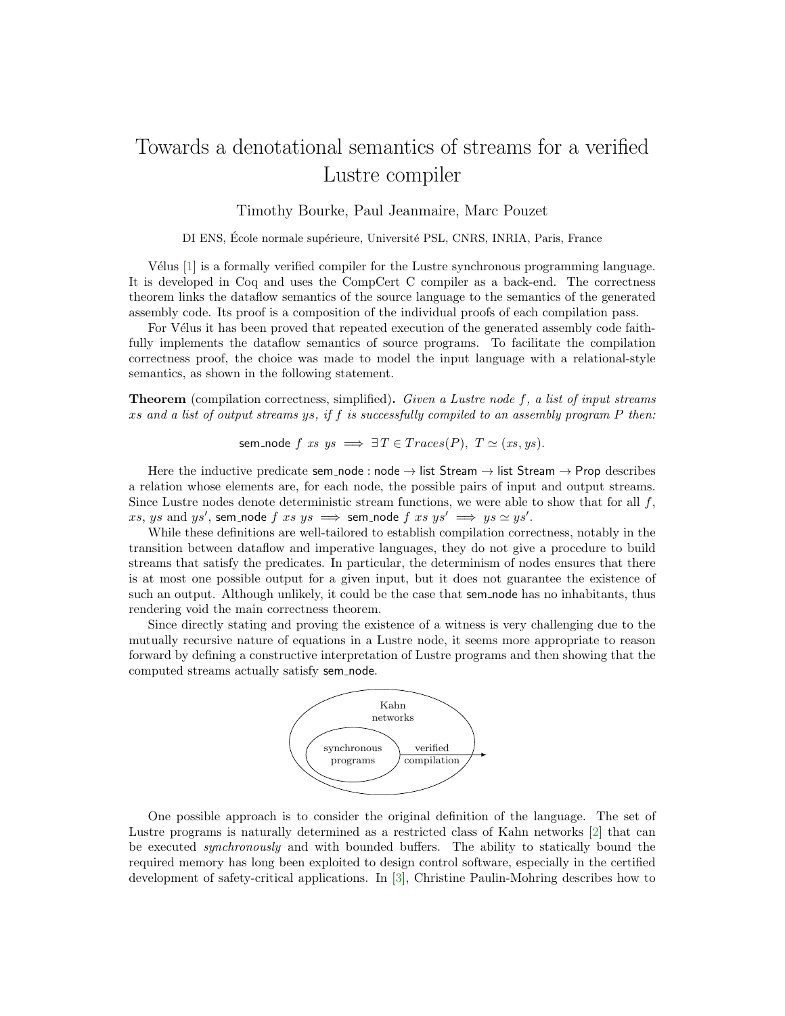## Towards a denotational semantics of streams for a verified Lustre compiler

## Timothy Bourke, Paul Jeanmaire, Marc Pouzet

DI ENS, École normale supérieure, Université PSL, CNRS, INRIA, Paris, France

Vélus [\[1\]](#page-1-0) is a formally verified compiler for the Lustre synchronous programming language. It is developed in Coq and uses the CompCert C compiler as a back-end. The correctness theorem links the dataflow semantics of the source language to the semantics of the generated assembly code. Its proof is a composition of the individual proofs of each compilation pass.

For Vélus it has been proved that repeated execution of the generated assembly code faithfully implements the dataflow semantics of source programs. To facilitate the compilation correctness proof, the choice was made to model the input language with a relational-style semantics, as shown in the following statement.

**Theorem** (compilation correctness, simplified). Given a Lustre node  $f$ , a list of input streams xs and a list of output streams ys, if f is successfully compiled to an assembly program  $P$  then:

sem\_node  $f$  xs  $ys \implies \exists T \in Traces(P), T \simeq (xs, ys).$ 

Here the inductive predicate sem\_node : node  $\rightarrow$  list Stream  $\rightarrow$  list Stream  $\rightarrow$  Prop describes a relation whose elements are, for each node, the possible pairs of input and output streams. Since Lustre nodes denote deterministic stream functions, we were able to show that for all  $f$ ,  $xs, ys \text{ and } ys', \text{ sem\_node } f \text{ } xs \text{ } \Longrightarrow \text{ sem\_node } f \text{ } xs \text{ } ys' \implies ys \simeq ys'.$ 

While these definitions are well-tailored to establish compilation correctness, notably in the transition between dataflow and imperative languages, they do not give a procedure to build streams that satisfy the predicates. In particular, the determinism of nodes ensures that there is at most one possible output for a given input, but it does not guarantee the existence of such an output. Although unlikely, it could be the case that sem node has no inhabitants, thus rendering void the main correctness theorem.

Since directly stating and proving the existence of a witness is very challenging due to the mutually recursive nature of equations in a Lustre node, it seems more appropriate to reason forward by defining a constructive interpretation of Lustre programs and then showing that the computed streams actually satisfy sem node.



One possible approach is to consider the original definition of the language. The set of Lustre programs is naturally determined as a restricted class of Kahn networks [\[2\]](#page-1-1) that can be executed synchronously and with bounded buffers. The ability to statically bound the required memory has long been exploited to design control software, especially in the certified development of safety-critical applications. In [\[3\]](#page-1-2), Christine Paulin-Mohring describes how to